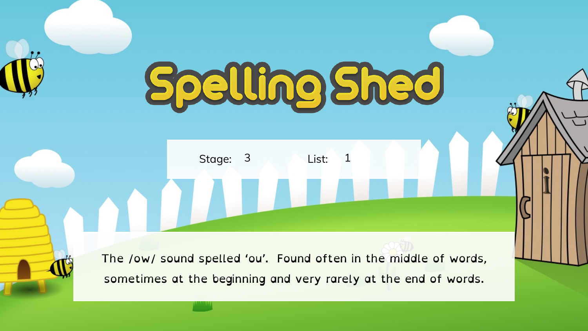## Spelling Shed

Stage: 3 List:

AN TILL

The /ow/ sound spelled 'ou'. Found often in the middle of words, sometimes at the beginning and very rarely at the end of words.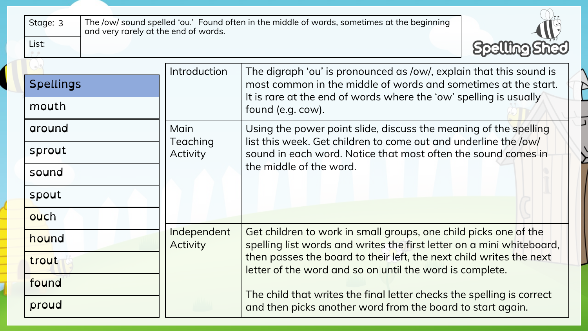| Stage: 3<br>and very rarely at the end of words. |                                | The /ow/ sound spelled 'ou.' Found often in the middle of words, sometimes at the beginning                                               |  |  |  |  |  |  |  |  |
|--------------------------------------------------|--------------------------------|-------------------------------------------------------------------------------------------------------------------------------------------|--|--|--|--|--|--|--|--|
| List:                                            |                                |                                                                                                                                           |  |  |  |  |  |  |  |  |
|                                                  | Introduction                   | The digraph 'ou' is pronounced as /ow/, explain that this sound is                                                                        |  |  |  |  |  |  |  |  |
| <b>Spellings</b>                                 |                                | most common in the middle of words and sometimes at the start.<br>It is rare at the end of words where the 'ow' spelling is usually       |  |  |  |  |  |  |  |  |
| mouth                                            |                                | found (e.g. cow).                                                                                                                         |  |  |  |  |  |  |  |  |
| around                                           | Main<br>Teaching               | Using the power point slide, discuss the meaning of the spelling<br>list this week. Get children to come out and underline the /ow/       |  |  |  |  |  |  |  |  |
| sprout                                           | Activity                       | sound in each word. Notice that most often the sound comes in                                                                             |  |  |  |  |  |  |  |  |
| sound                                            |                                | the middle of the word.                                                                                                                   |  |  |  |  |  |  |  |  |
| spout                                            |                                |                                                                                                                                           |  |  |  |  |  |  |  |  |
| ouch                                             |                                |                                                                                                                                           |  |  |  |  |  |  |  |  |
| hound                                            | Independent<br><b>Activity</b> | Get children to work in small groups, one child picks one of the<br>spelling list words and writes the first letter on a mini whiteboard, |  |  |  |  |  |  |  |  |
| trout                                            |                                | then passes the board to their left, the next child writes the next<br>letter of the word and so on until the word is complete.           |  |  |  |  |  |  |  |  |
| found                                            |                                |                                                                                                                                           |  |  |  |  |  |  |  |  |
| proud                                            |                                | The child that writes the final letter checks the spelling is correct<br>and then picks another word from the board to start again.       |  |  |  |  |  |  |  |  |

 $\curvearrowright$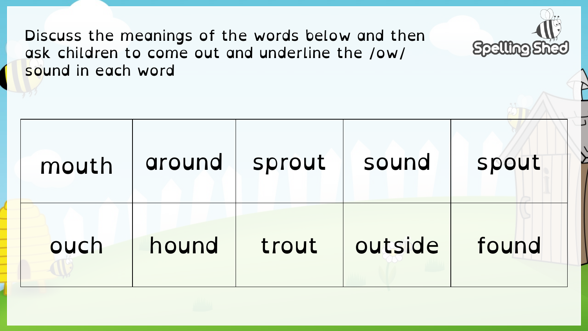Discuss the meanings of the words below and then ask children to come out and underline the /ow/ sound in each word

| mouth | around | sprout | sound   | spout |
|-------|--------|--------|---------|-------|
| ouch  | hound  | trout  | outside | found |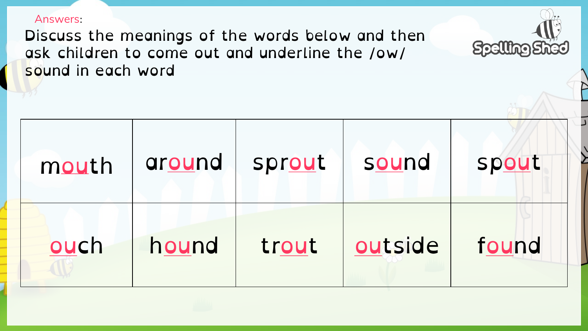## Answers:

Discuss the meanings of the words below and then ask children to come out and underline the /ow/ sound in each word



Spelling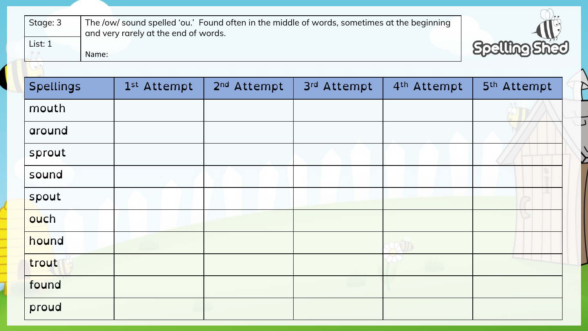| Stage: 3<br>List: 1 |       | and very rarely at the end of words. | The /ow/ sound spelled 'ou.' Found often in the middle of words, sometimes at the beginning |             |                         |             |
|---------------------|-------|--------------------------------------|---------------------------------------------------------------------------------------------|-------------|-------------------------|-------------|
|                     | Name: |                                      |                                                                                             |             |                         | Spelling    |
|                     |       |                                      |                                                                                             |             |                         |             |
| <b>Spellings</b>    |       | 1st Attempt                          | 2 <sup>nd</sup> Attempt                                                                     | 3rd Attempt | 4 <sup>th</sup> Attempt | 5th Attempt |
| mouth               |       |                                      |                                                                                             |             |                         |             |
| around              |       |                                      |                                                                                             |             |                         |             |
| sprout              |       |                                      |                                                                                             |             |                         |             |
| sound               |       |                                      |                                                                                             |             |                         |             |
| spout               |       |                                      |                                                                                             |             |                         |             |
| ouch                |       |                                      |                                                                                             |             |                         |             |
| hound               |       |                                      |                                                                                             |             |                         |             |
| trout               |       |                                      |                                                                                             |             |                         |             |
| found               |       |                                      |                                                                                             |             |                         |             |
| proud               |       |                                      |                                                                                             |             |                         |             |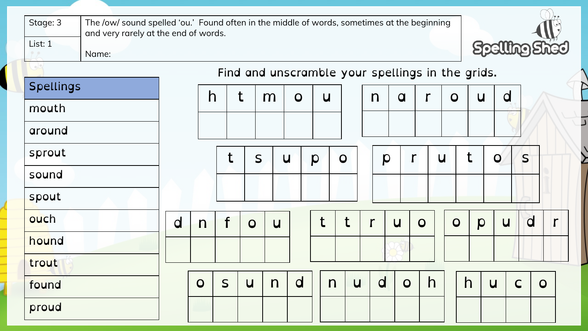| Stage: 3         | The /ow/ sound spelled 'ou.' Found often in the middle of words, sometimes at the beginning<br>and very rarely at the end of words. |                |   |                |                |                |                  |                |                                                  |                |                         |                         |                         |                         |              |                |
|------------------|-------------------------------------------------------------------------------------------------------------------------------------|----------------|---|----------------|----------------|----------------|------------------|----------------|--------------------------------------------------|----------------|-------------------------|-------------------------|-------------------------|-------------------------|--------------|----------------|
| List: 1<br>Name: | <b>Spelling Shed</b>                                                                                                                |                |   |                |                |                |                  |                |                                                  |                |                         |                         |                         |                         |              |                |
|                  |                                                                                                                                     |                |   |                |                |                |                  |                | Find and unscramble your spellings in the grids. |                |                         |                         |                         |                         |              |                |
| <b>Spellings</b> |                                                                                                                                     | h              |   | t              | m              | $\overline{O}$ | $\overline{u}$   |                | $\mathsf{n}$                                     | $\overline{a}$ |                         | $\overline{O}$          | $\overline{u}$          | $\overline{\mathsf{d}}$ |              |                |
| mouth            |                                                                                                                                     |                |   |                |                |                |                  |                |                                                  |                |                         |                         |                         |                         |              |                |
| around           |                                                                                                                                     |                |   |                |                |                |                  |                |                                                  |                |                         |                         |                         |                         |              |                |
| sprout           |                                                                                                                                     |                | t | S              |                | $\overline{u}$ | $\boldsymbol{p}$ | $\overline{O}$ | p                                                | $\mathsf{r}$   |                         | $\overline{\mathsf{u}}$ | t                       | $\mathbf O$             | S            |                |
| sound            |                                                                                                                                     |                |   |                |                |                |                  |                |                                                  |                |                         |                         |                         |                         |              |                |
| spout            |                                                                                                                                     |                |   |                |                |                |                  |                |                                                  |                |                         |                         |                         |                         |              |                |
| ouch             | $\overline{\mathsf{d}}$                                                                                                             | $\mathsf{n}$   | f | $\overline{O}$ | $\overline{u}$ |                | t                | t              |                                                  | $\overline{u}$ | $\overline{O}$          | $\overline{O}$          | p                       | $\overline{u}$          | $\mathsf{d}$ | $\mathbf{r}$   |
| hound            |                                                                                                                                     |                |   |                |                |                |                  |                |                                                  |                |                         |                         |                         |                         |              |                |
| trout            |                                                                                                                                     |                |   |                |                |                |                  |                |                                                  |                |                         |                         |                         |                         |              |                |
| found            |                                                                                                                                     | $\overline{O}$ | S | $\overline{u}$ | $\mathsf{n}$   | $\overline{d}$ | $\mathsf{n}$     | $\overline{u}$ | $\overline{\mathsf{d}}$                          | $\overline{O}$ | $\overline{\mathsf{h}}$ |                         | $\overline{\mathsf{h}}$ | $\overline{u}$          | $\mathsf{C}$ | $\overline{O}$ |
| proud            |                                                                                                                                     |                |   |                |                |                |                  |                |                                                  |                |                         |                         |                         |                         |              |                |